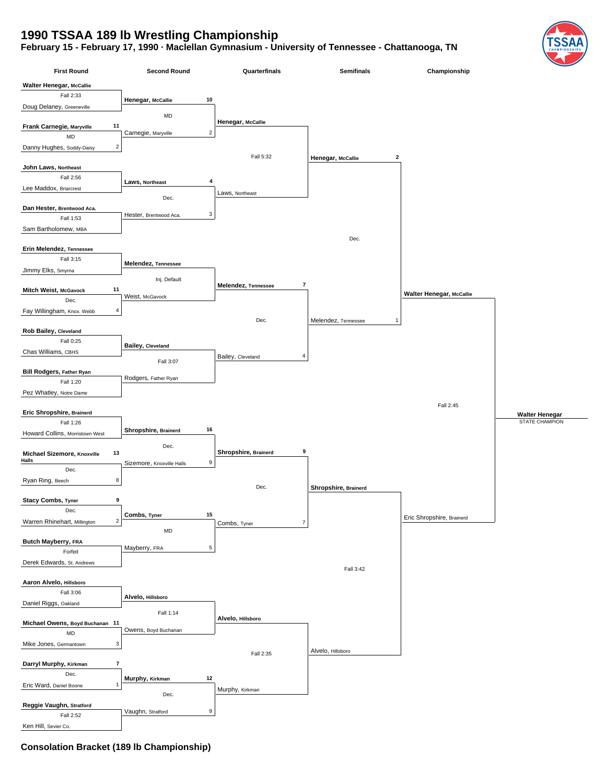## **1990 TSSAA 189 lb Wrestling Championship**

## **February 15 - February 17, 1990 · Maclellan Gymnasium - University of Tennessee - Chattanooga, TN**



**Consolation Bracket (189 lb Championship)**